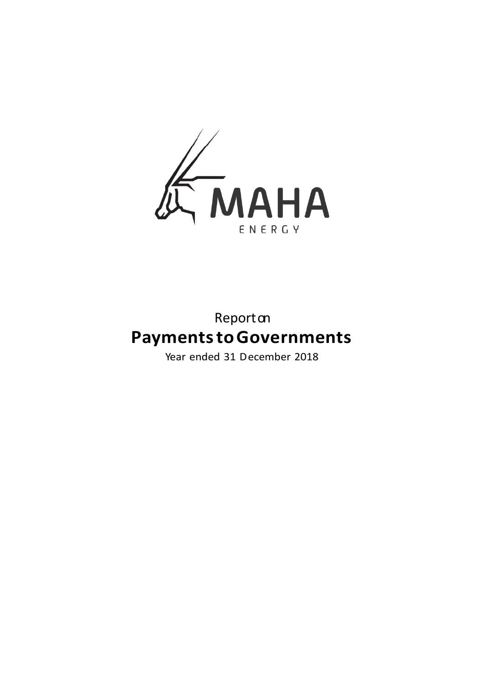

# Reporton **Payments to Governments**

Year ended 31 December 2018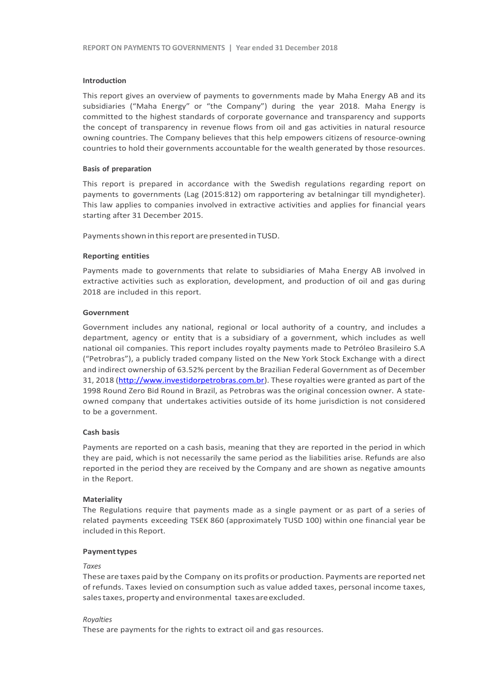#### **Introduction**

This report gives an overview of payments to governments made by Maha Energy AB and its subsidiaries ("Maha Energy" or "the Company") during the year 2018. Maha Energy is committed to the highest standards of corporate governance and transparency and supports the concept of transparency in revenue flows from oil and gas activities in natural resource owning countries. The Company believes that this help empowers citizens of resource-owning countries to hold their governments accountable for the wealth generated by those resources.

#### **Basis of preparation**

This report is prepared in accordance with the Swedish regulations regarding report on payments to governments (Lag (2015:812) om rapportering av betalningar till myndigheter). This law applies to companies involved in extractive activities and applies for financial years starting after 31 December 2015.

Payments shown in this report are presented in TUSD.

#### **Reporting entities**

Payments made to governments that relate to subsidiaries of Maha Energy AB involved in extractive activities such as exploration, development, and production of oil and gas during 2018 are included in this report.

#### **Government**

Government includes any national, regional or local authority of a country, and includes a department, agency or entity that is a subsidiary of a government, which includes as well national oil companies. This report includes royalty payments made to Petróleo Brasileiro S.A ("Petrobras"), a publicly traded company listed on the New York Stock Exchange with a direct and indirect ownership of 63.52% percent by the Brazilian Federal Government as of December 31, 2018 [\(http://www.investidorpetrobras.com.br\)](http://www.investidorpetrobras.com.br/). These royalties were granted as part of the 1998 Round Zero Bid Round in Brazil, as Petrobras was the original concession owner. A stateowned company that undertakes activities outside of its home jurisdiction is not considered to be a government.

#### **Cash basis**

Payments are reported on a cash basis, meaning that they are reported in the period in which they are paid, which is not necessarily the same period as the liabilities arise. Refunds are also reported in the period they are received by the Company and are shown as negative amounts in the Report.

#### **Materiality**

The Regulations require that payments made as a single payment or as part of a series of related payments exceeding TSEK 860 (approximately TUSD 100) within one financial year be included in this Report.

#### **Paymenttypes**

#### *Taxes*

These are taxes paid by the Company on its profits or production. Payments are reported net of refunds. Taxes levied on consumption such as value added taxes, personal income taxes, sales taxes, property and environmental taxes are excluded.

#### *Royalties*

These are payments for the rights to extract oil and gas resources.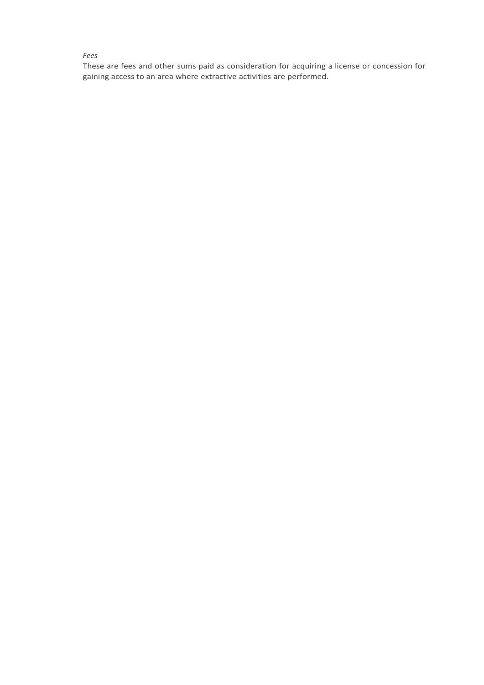#### *Fees*

These are fees and other sums paid as consideration for acquiring a license or concession for gaining access to an area where extractive activities are performed.